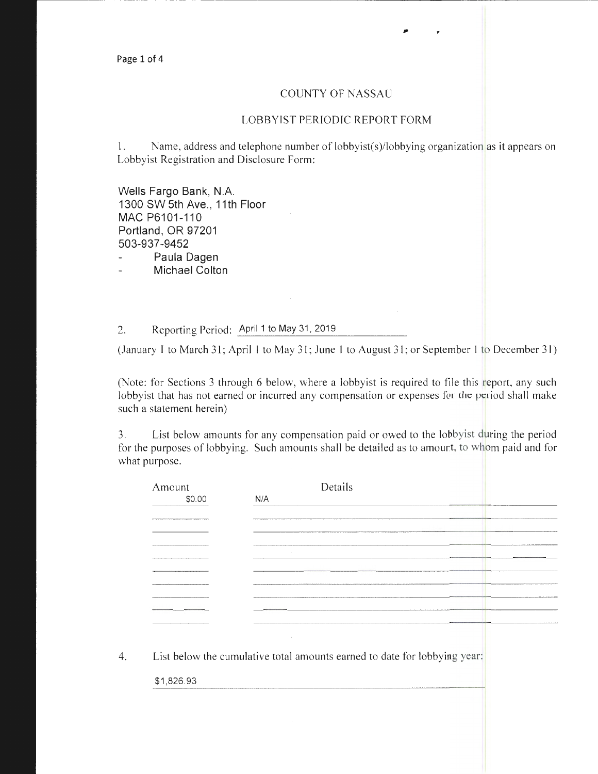## COUNTY OF NASSAU

---------- -- - - -- ----- - --------------;-;-------

.,

## LOBBYIST PERIODIC REPORT FORM

1. Name, address and telephone number of lobbyist(s)/lobbying organization as it appears on Lobbyist Registration and Disclosure Form:

Wells Fargo Bank, N.A. 1300 SW 5th Ave., 11th Floor MAC P6101-110 Portland, OR 97201 503-937-9452

Paula Dagen

Michael Colton

2. Reporting Period: April 1 to May 31, 2019

(January I to March 31; April 1 to May 31; June 1 to August 31; or September 1 to December 31)

(Note: for Sections 3 through 6 below, where a lobbyist is required to file this report, any such lobbyist that has not earned or incurred any compensation or expenses for the period shall make such a statement herein)

3. List below amounts for any compensation paid or owed to the lobbyist during the period for the purposes of lobbying. Such amounts shall be detailed as to amount, to whom paid and for what purpose.

| Amount     | Details                                                                   |
|------------|---------------------------------------------------------------------------|
| \$0.00     | N/A                                                                       |
|            |                                                                           |
|            |                                                                           |
|            |                                                                           |
|            |                                                                           |
|            |                                                                           |
|            |                                                                           |
|            |                                                                           |
|            |                                                                           |
|            |                                                                           |
|            |                                                                           |
|            |                                                                           |
|            |                                                                           |
|            | List below the cumulative total amounts earned to date for lobbying year: |
| \$1,826.93 |                                                                           |
|            |                                                                           |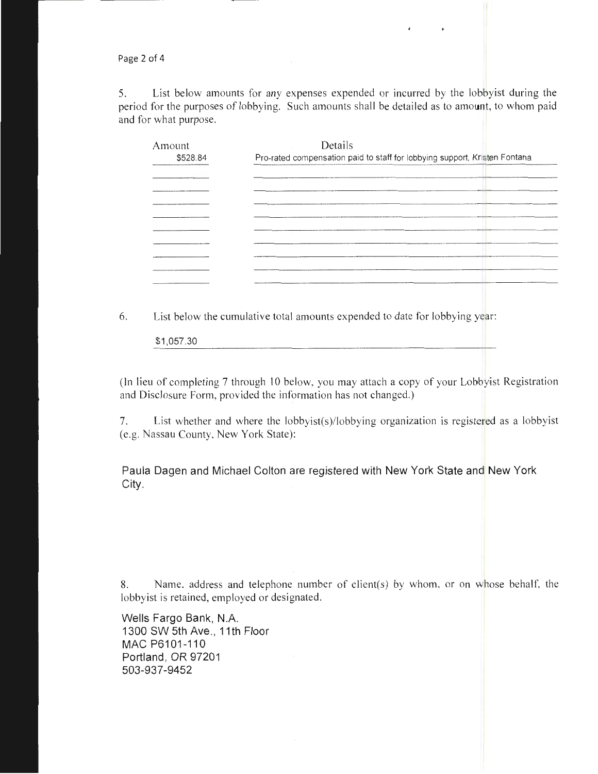Page 2 of 4

5. List below amounts for any expenses expended or incurred by the lobbyist during the period for the purposes of lobbying. Such amounts shall be detailed as to amount, to whom paid and for what purpose.

| Pro-rated compensation paid to staff for lobbying support, Kristen Fontana |
|----------------------------------------------------------------------------|
|                                                                            |
|                                                                            |
|                                                                            |
|                                                                            |
|                                                                            |
|                                                                            |
|                                                                            |
|                                                                            |
|                                                                            |
|                                                                            |

6. List below the cumulative total amounts expended to date for lobbying year:

\$1,057.30

(In lieu of completing 7 through 10 below, you may attach a copy of your Lobbyist Registration and Disclosure Form, provided the information has not changed.)

7. List whether and where the lobbyist(s)/lobbying organization is registered as a lobbyist (e.g. Nassau County, New York State):

Paula Dagen and Michael Colton are registered with New York State and New York City.

8. Name, address and telephone number of client(s) by whom, or on whose behalf, the lobbyist is retained, employed or designated.

Wells Fargo Bank, N.A. 1300 SW 5th Ave., 11th Floor MAC P6101-110 Portland, OR 97201 503-937-9452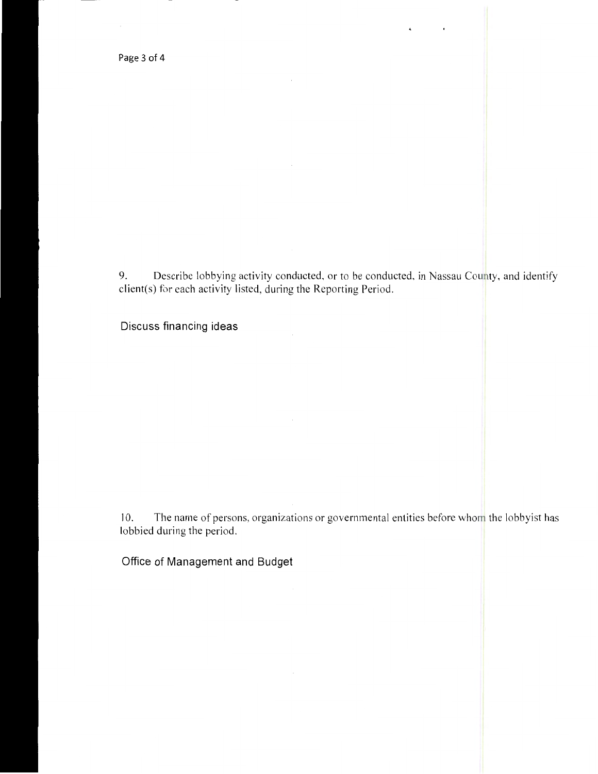Page 3 of 4

9. Describe lobbying activity conducted, or to be conducted, in Nassau County, and identify client(s) for each activity listed, during the Reporting Period.

 $\ddot{\phantom{a}}$ 

 $\epsilon$ 

Discuss financing ideas

10. The name of persons, organizations or governmental entities before whom the lobbyist has lobbied during the period.

Office of Management and Budget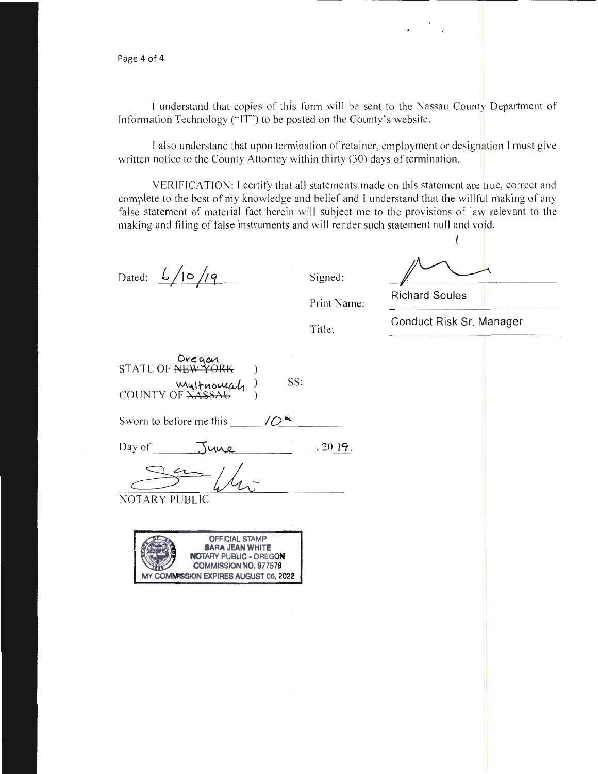l understand that copies of this form will be sent to the Nassau County Department of Information Technology ("IT'') to be posted on the County's website.

I also understand that upon termination of retainer, employment or designation I must give written notice to the County Attorney within thirty (30) days of termination.

VERIFICATION: I certify that all statements made on this statement are true, correct and complete to the best of my knowledge and belief and I understand that the willful making of any false statement of material fact herein will subject me to the provisions of law relevant to the making and filing of false instruments and will render such statement null and void.

Dated:  $\frac{6}{10}$  /1 <sup>q</sup>  $\frac{1}{9}$  Signed:

Print Name:

| <b>Richard Soules</b>    |
|--------------------------|
| Conduct Risk Sr. Manager |

 $\mathbf{I}$ 

Title:

| Oregou<br>STATE OF NEW YORK |     |
|-----------------------------|-----|
| multuomah                   | SS: |

Sworn to before me this  $\sqrt{O^{4}}$ .

Day of  $\frac{1}{\sqrt{2}}$   $\frac{1}{\sqrt{2}}$ .

 $\frac{2\pi}{\pi}$ NOTARY PUBLIC